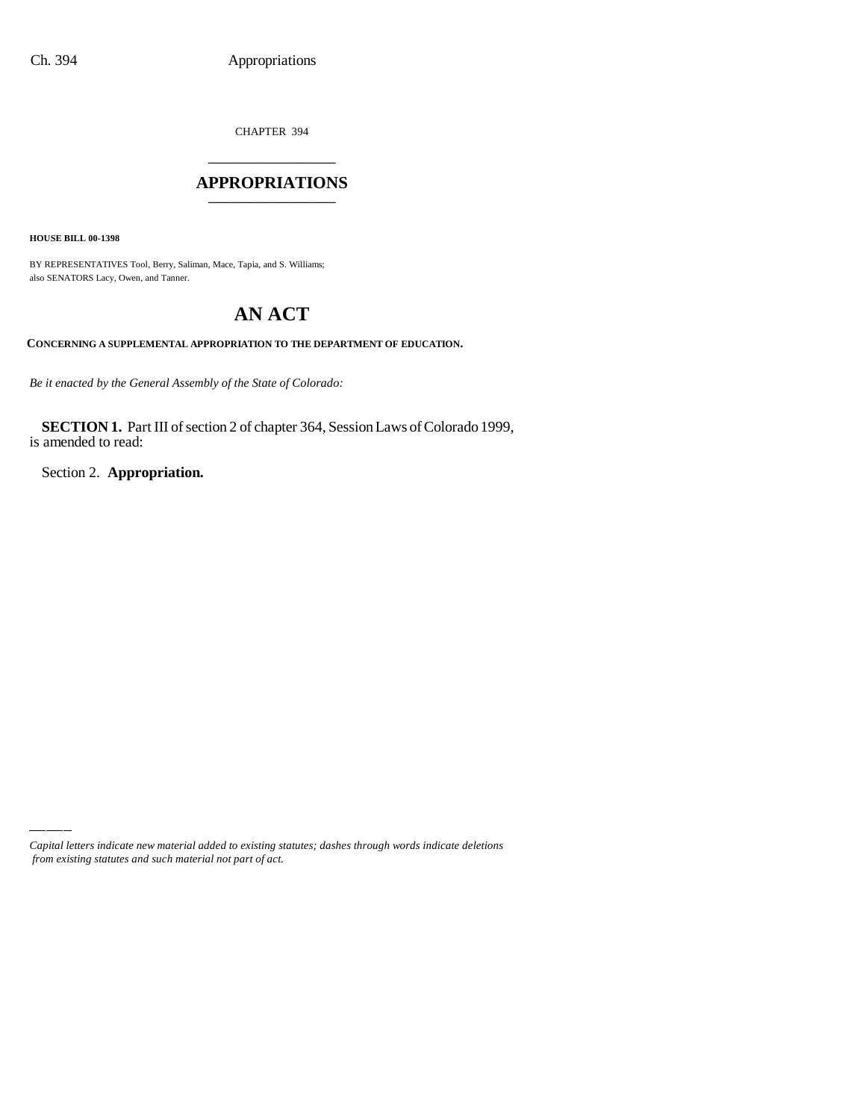CHAPTER 394 \_\_\_\_\_\_\_\_\_\_\_\_\_\_\_

### **APPROPRIATIONS** \_\_\_\_\_\_\_\_\_\_\_\_\_\_\_

**HOUSE BILL 00-1398**

BY REPRESENTATIVES Tool, Berry, Saliman, Mace, Tapia, and S. Williams; also SENATORS Lacy, Owen, and Tanner.

# **AN ACT**

**CONCERNING A SUPPLEMENTAL APPROPRIATION TO THE DEPARTMENT OF EDUCATION.**

*Be it enacted by the General Assembly of the State of Colorado:*

**SECTION 1.** Part III of section 2 of chapter 364, Session Laws of Colorado 1999, is amended to read:

Section 2. **Appropriation.**

*Capital letters indicate new material added to existing statutes; dashes through words indicate deletions from existing statutes and such material not part of act.*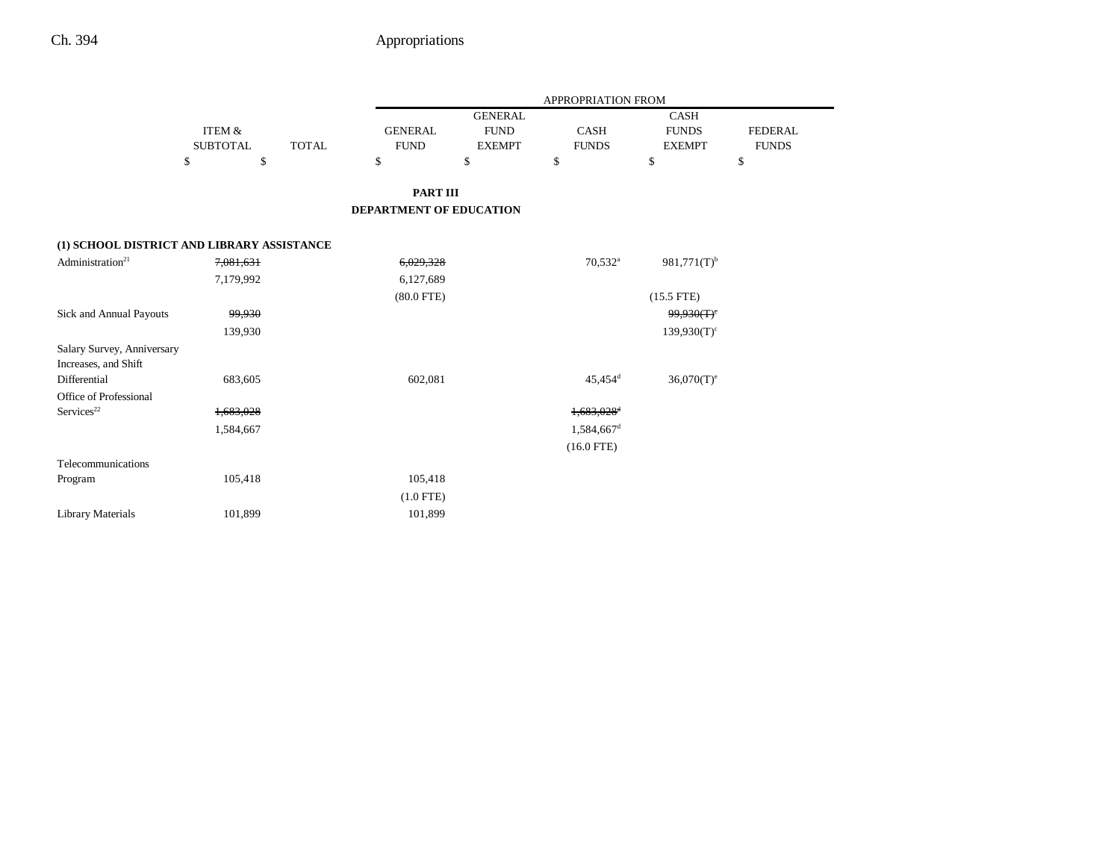|                                            |                 |              |                                |                | APPROPRIATION FROM     |                           |                |
|--------------------------------------------|-----------------|--------------|--------------------------------|----------------|------------------------|---------------------------|----------------|
|                                            |                 |              |                                | <b>GENERAL</b> |                        | CASH                      |                |
|                                            | ITEM &          |              | <b>GENERAL</b>                 | <b>FUND</b>    | <b>CASH</b>            | <b>FUNDS</b>              | <b>FEDERAL</b> |
|                                            | <b>SUBTOTAL</b> | <b>TOTAL</b> | <b>FUND</b>                    | <b>EXEMPT</b>  | <b>FUNDS</b>           | <b>EXEMPT</b>             | <b>FUNDS</b>   |
|                                            | \$<br>\$        |              | \$                             | $\mathbb{S}$   | \$                     | \$                        | \$             |
|                                            |                 |              |                                |                |                        |                           |                |
|                                            |                 |              | <b>PART III</b>                |                |                        |                           |                |
|                                            |                 |              | <b>DEPARTMENT OF EDUCATION</b> |                |                        |                           |                |
|                                            |                 |              |                                |                |                        |                           |                |
| (1) SCHOOL DISTRICT AND LIBRARY ASSISTANCE |                 |              |                                |                |                        |                           |                |
| Administration <sup>21</sup>               | 7,081,631       |              | 6,029,328                      |                | $70,532$ <sup>a</sup>  | $981,771(T)$ <sup>b</sup> |                |
|                                            | 7,179,992       |              | 6,127,689                      |                |                        |                           |                |
|                                            |                 |              | $(80.0$ FTE)                   |                |                        | $(15.5$ FTE)              |                |
| Sick and Annual Payouts                    | 99,930          |              |                                |                |                        | 99,930(T) <sup>c</sup>    |                |
|                                            | 139,930         |              |                                |                |                        | $139,930(T)$ <sup>c</sup> |                |
| Salary Survey, Anniversary                 |                 |              |                                |                |                        |                           |                |
| Increases, and Shift                       |                 |              |                                |                |                        |                           |                |
| Differential                               | 683,605         |              | 602,081                        |                | $45,454$ <sup>d</sup>  | $36,070(T)$ <sup>e</sup>  |                |
| Office of Professional                     |                 |              |                                |                |                        |                           |                |
| Services <sup>22</sup>                     | 1,683,028       |              |                                |                | 1,683,028 <sup>d</sup> |                           |                |
|                                            | 1,584,667       |              |                                |                | 1,584,667 <sup>d</sup> |                           |                |
|                                            |                 |              |                                |                | $(16.0$ FTE)           |                           |                |
| Telecommunications                         |                 |              |                                |                |                        |                           |                |
| Program                                    | 105,418         |              | 105,418                        |                |                        |                           |                |
|                                            |                 |              | $(1.0$ FTE)                    |                |                        |                           |                |
| <b>Library Materials</b>                   | 101,899         |              | 101,899                        |                |                        |                           |                |
|                                            |                 |              |                                |                |                        |                           |                |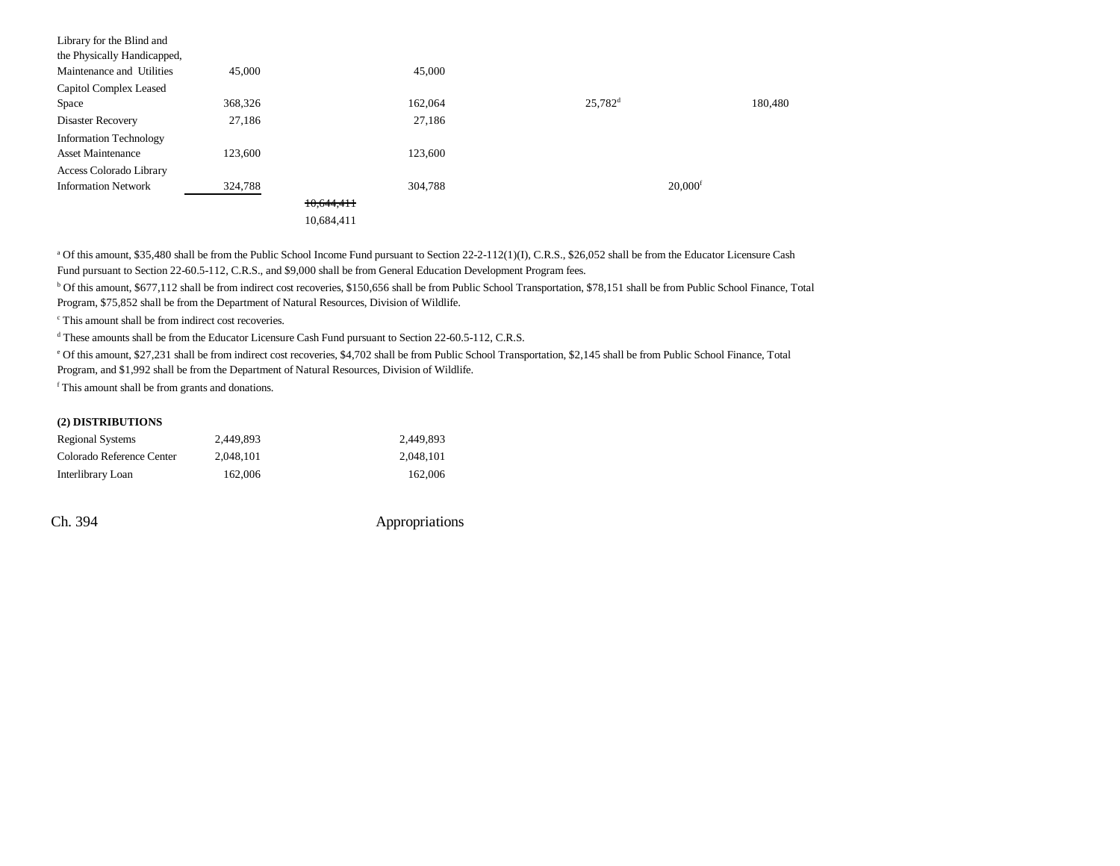| Library for the Blind and     |         |            |         |                       |                       |         |
|-------------------------------|---------|------------|---------|-----------------------|-----------------------|---------|
| the Physically Handicapped,   |         |            |         |                       |                       |         |
| Maintenance and Utilities     | 45,000  |            | 45,000  |                       |                       |         |
| Capitol Complex Leased        |         |            |         |                       |                       |         |
| Space                         | 368,326 |            | 162,064 | $25,782$ <sup>d</sup> |                       | 180.480 |
| Disaster Recovery             | 27,186  |            | 27,186  |                       |                       |         |
| <b>Information Technology</b> |         |            |         |                       |                       |         |
| <b>Asset Maintenance</b>      | 123,600 |            | 123,600 |                       |                       |         |
| Access Colorado Library       |         |            |         |                       |                       |         |
| <b>Information Network</b>    | 324,788 |            | 304.788 |                       | $20,000$ <sup>f</sup> |         |
|                               |         | 10,644,411 |         |                       |                       |         |
|                               |         | 10,684,411 |         |                       |                       |         |
|                               |         |            |         |                       |                       |         |

<sup>a</sup> Of this amount, \$35,480 shall be from the Public School Income Fund pursuant to Section 22-2-112(1)(I), C.R.S., \$26,052 shall be from the Educator Licensure Cash Fund pursuant to Section 22-60.5-112, C.R.S., and \$9,000 shall be from General Education Development Program fees.

b Of this amount, \$677,112 shall be from indirect cost recoveries, \$150,656 shall be from Public School Transportation, \$78,151 shall be from Public School Finance, Total Program, \$75,852 shall be from the Department of Natural Resources, Division of Wildlife.

c This amount shall be from indirect cost recoveries.

d These amounts shall be from the Educator Licensure Cash Fund pursuant to Section 22-60.5-112, C.R.S.

e Of this amount, \$27,231 shall be from indirect cost recoveries, \$4,702 shall be from Public School Transportation, \$2,145 shall be from Public School Finance, Total

Program, and \$1,992 shall be from the Department of Natural Resources, Division of Wildlife.

f This amount shall be from grants and donations.

#### **(2) DISTRIBUTIONS**

| Regional Systems          | 2.449.893 | 2.449.893 |
|---------------------------|-----------|-----------|
| Colorado Reference Center | 2.048.101 | 2.048.101 |
| Interlibrary Loan         | 162,006   | 162,006   |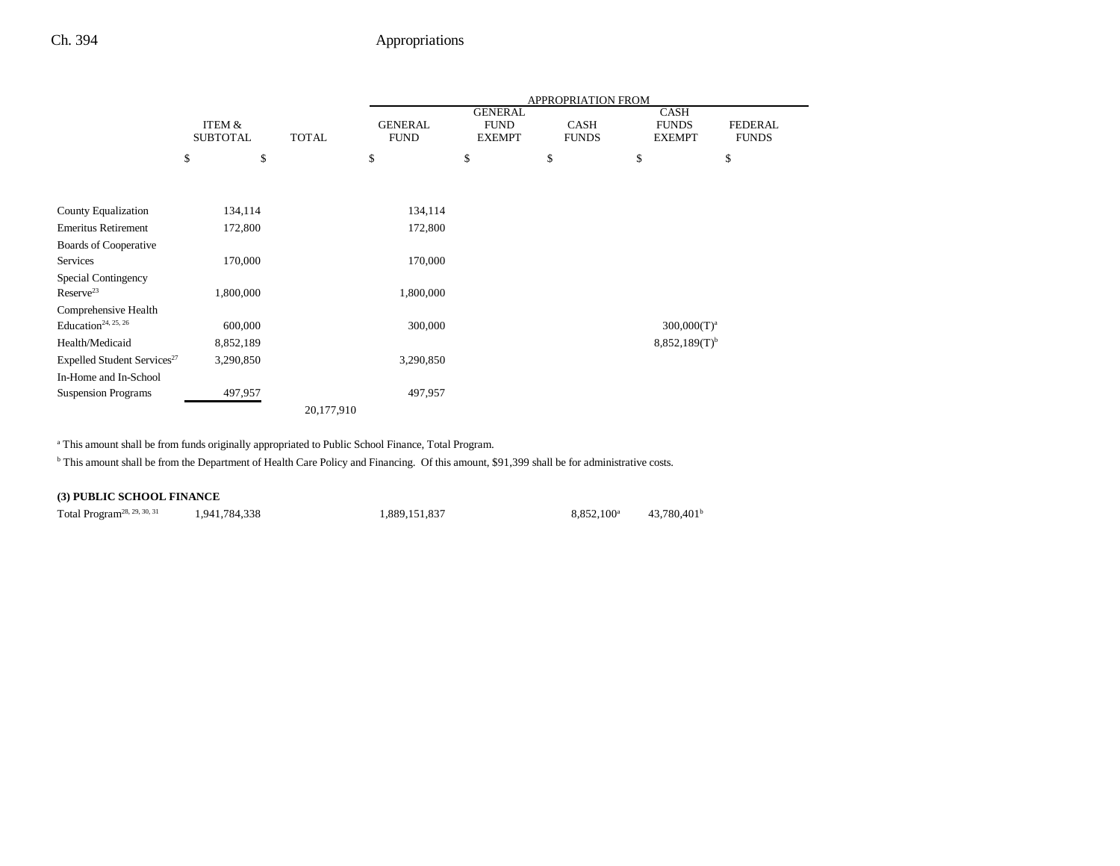|                                         |                           |              | <b>APPROPRIATION FROM</b>     |                                                |                             |                                              |                                |  |  |  |
|-----------------------------------------|---------------------------|--------------|-------------------------------|------------------------------------------------|-----------------------------|----------------------------------------------|--------------------------------|--|--|--|
|                                         | ITEM &<br><b>SUBTOTAL</b> | <b>TOTAL</b> | <b>GENERAL</b><br><b>FUND</b> | <b>GENERAL</b><br><b>FUND</b><br><b>EXEMPT</b> | <b>CASH</b><br><b>FUNDS</b> | <b>CASH</b><br><b>FUNDS</b><br><b>EXEMPT</b> | <b>FEDERAL</b><br><b>FUNDS</b> |  |  |  |
|                                         | \$<br>\$                  |              | \$                            | \$                                             | \$                          | \$                                           | \$                             |  |  |  |
|                                         |                           |              |                               |                                                |                             |                                              |                                |  |  |  |
| County Equalization                     | 134,114                   |              | 134,114                       |                                                |                             |                                              |                                |  |  |  |
| <b>Emeritus Retirement</b>              | 172,800                   |              | 172,800                       |                                                |                             |                                              |                                |  |  |  |
| Boards of Cooperative                   |                           |              |                               |                                                |                             |                                              |                                |  |  |  |
| Services                                | 170,000                   |              | 170,000                       |                                                |                             |                                              |                                |  |  |  |
| Special Contingency                     |                           |              |                               |                                                |                             |                                              |                                |  |  |  |
| Reserve <sup>23</sup>                   | 1,800,000                 |              | 1,800,000                     |                                                |                             |                                              |                                |  |  |  |
| Comprehensive Health                    |                           |              |                               |                                                |                             |                                              |                                |  |  |  |
| Education <sup>24, 25, 26</sup>         | 600,000                   |              | 300,000                       |                                                |                             | $300,000(T)^a$                               |                                |  |  |  |
| Health/Medicaid                         | 8,852,189                 |              |                               |                                                |                             | $8,852,189(T)^{b}$                           |                                |  |  |  |
| Expelled Student Services <sup>27</sup> | 3,290,850                 |              | 3,290,850                     |                                                |                             |                                              |                                |  |  |  |
| In-Home and In-School                   |                           |              |                               |                                                |                             |                                              |                                |  |  |  |
| <b>Suspension Programs</b>              | 497,957                   |              | 497,957                       |                                                |                             |                                              |                                |  |  |  |
|                                         |                           | 20,177,910   |                               |                                                |                             |                                              |                                |  |  |  |

<sup>a</sup> This amount shall be from funds originally appropriated to Public School Finance, Total Program.

<sup>b</sup> This amount shall be from the Department of Health Care Policy and Financing. Of this amount, \$91,399 shall be for administrative costs.

#### **(3) PUBLIC SCHOOL FINANCE**

Total Program<sup>28, 29, 30, 31</sup> 1,941,784,338 1,889,151,837 8,852,100<sup>a</sup> 43,780,401<sup>b</sup>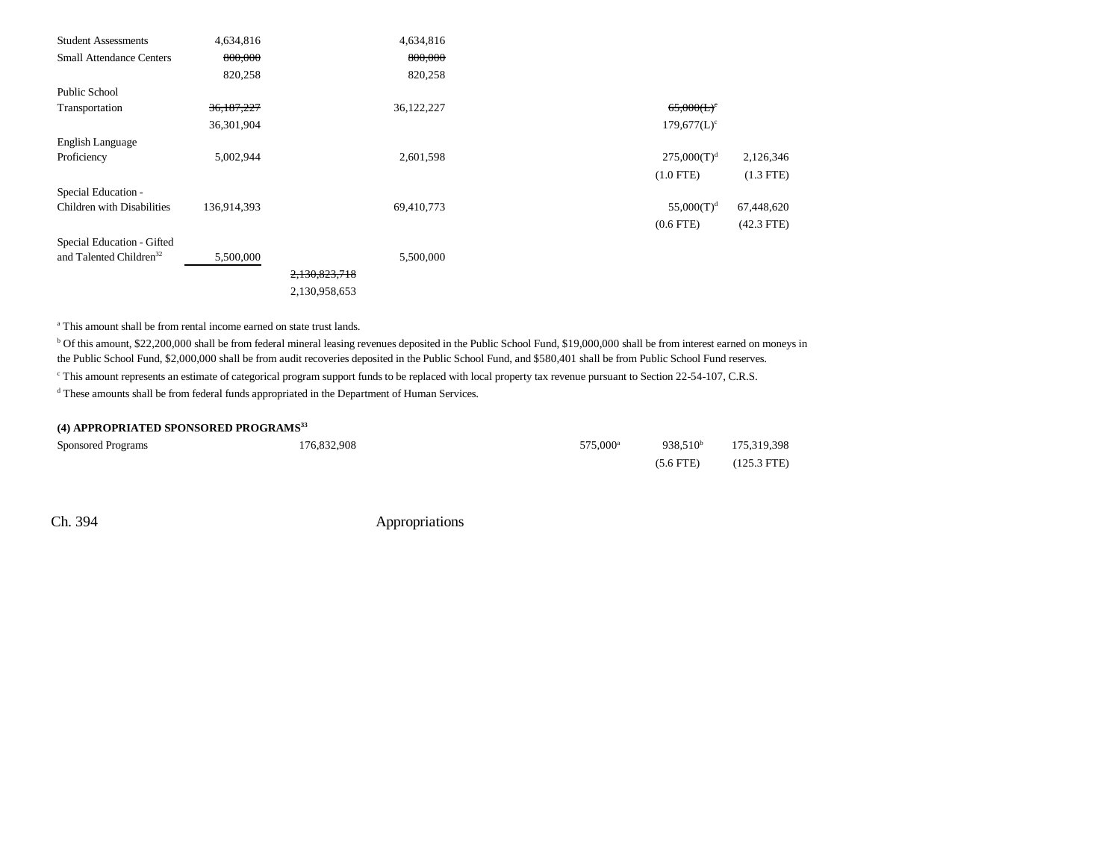| <b>Student Assessments</b>          | 4,634,816   | 4,634,816     |                |              |
|-------------------------------------|-------------|---------------|----------------|--------------|
| <b>Small Attendance Centers</b>     | 800,000     | 800,000       |                |              |
|                                     | 820,258     | 820,258       |                |              |
| <b>Public School</b>                |             |               |                |              |
| Transportation                      | 36,187,227  | 36,122,227    | $65,000(L)^c$  |              |
|                                     | 36,301,904  |               | $179,677(L)^c$ |              |
| English Language                    |             |               |                |              |
| Proficiency                         | 5,002,944   | 2,601,598     | $275,000(T)^d$ | 2,126,346    |
|                                     |             |               | $(1.0$ FTE)    | $(1.3$ FTE)  |
| Special Education -                 |             |               |                |              |
| Children with Disabilities          | 136,914,393 | 69,410,773    | $55,000(T)^d$  | 67,448,620   |
|                                     |             |               | $(0.6$ FTE $)$ | $(42.3$ FTE) |
| Special Education - Gifted          |             |               |                |              |
| and Talented Children <sup>32</sup> | 5,500,000   | 5,500,000     |                |              |
|                                     |             | 2,130,823,718 |                |              |
|                                     |             | 2,130,958,653 |                |              |
|                                     |             |               |                |              |

a This amount shall be from rental income earned on state trust lands.

b Of this amount, \$22,200,000 shall be from federal mineral leasing revenues deposited in the Public School Fund, \$19,000,000 shall be from interest earned on moneys in the Public School Fund, \$2,000,000 shall be from audit recoveries deposited in the Public School Fund, and \$580,401 shall be from Public School Fund reserves.

c This amount represents an estimate of categorical program support funds to be replaced with local property tax revenue pursuant to Section 22-54-107, C.R.S.

d These amounts shall be from federal funds appropriated in the Department of Human Services.

#### **(4) APPROPRIATED SPONSORED PROGRAMS33**

| <b>Sponsored Programs</b> | 176,832,908 | 575,000 <sup>a</sup> |                     | 938,510 <sup>b</sup> 175,319,398 |
|---------------------------|-------------|----------------------|---------------------|----------------------------------|
|                           |             |                      | $(5.6 \text{ FTE})$ | $(125.3 \text{ FTE})$            |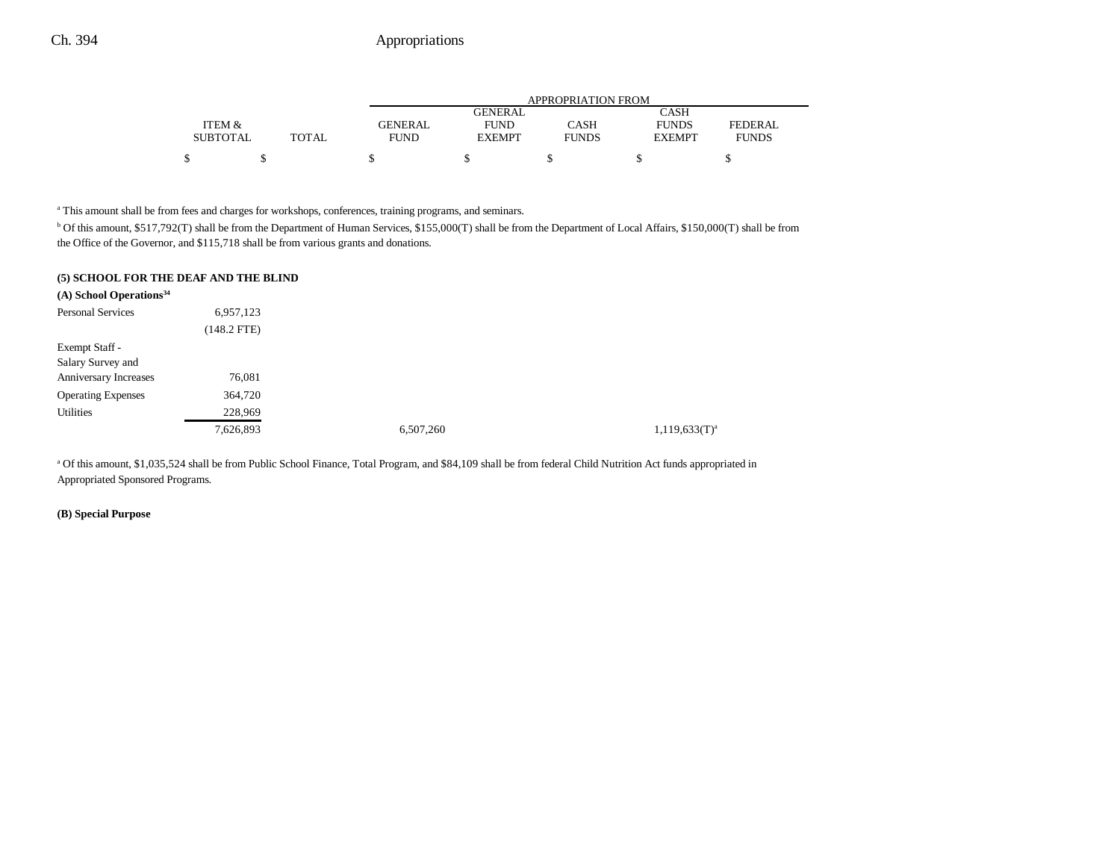|                 |       | APPROPRIATION FROM |                |              |               |              |  |  |
|-----------------|-------|--------------------|----------------|--------------|---------------|--------------|--|--|
|                 |       |                    | <b>GENERAL</b> |              | CASH          |              |  |  |
| ITEM &          |       | <b>GENERAL</b>     | <b>FUND</b>    | CASH         | <b>FUNDS</b>  | FEDERAL      |  |  |
| <b>SUBTOTAL</b> | TOTAL | <b>FUND</b>        | <b>EXEMPT</b>  | <b>FUNDS</b> | <b>EXEMPT</b> | <b>FUNDS</b> |  |  |
|                 |       |                    |                |              |               |              |  |  |

<sup>a</sup> This amount shall be from fees and charges for workshops, conferences, training programs, and seminars.

b Of this amount, \$517,792(T) shall be from the Department of Human Services, \$155,000(T) shall be from the Department of Local Affairs, \$150,000(T) shall be from the Office of the Governor, and \$115,718 shall be from various grants and donations.

| (5) SCHOOL FOR THE DEAF AND THE BLIND |  |
|---------------------------------------|--|
|---------------------------------------|--|

| $(A)$ School Operations <sup>34</sup> |               |           |                    |
|---------------------------------------|---------------|-----------|--------------------|
| <b>Personal Services</b>              | 6,957,123     |           |                    |
|                                       | $(148.2$ FTE) |           |                    |
| Exempt Staff -                        |               |           |                    |
| Salary Survey and                     |               |           |                    |
| Anniversary Increases                 | 76,081        |           |                    |
| <b>Operating Expenses</b>             | 364,720       |           |                    |
| Utilities                             | 228,969       |           |                    |
|                                       | 7,626,893     | 6,507,260 | $1,119,633(T)^{a}$ |

a Of this amount, \$1,035,524 shall be from Public School Finance, Total Program, and \$84,109 shall be from federal Child Nutrition Act funds appropriated in Appropriated Sponsored Programs.

**(B) Special Purpose**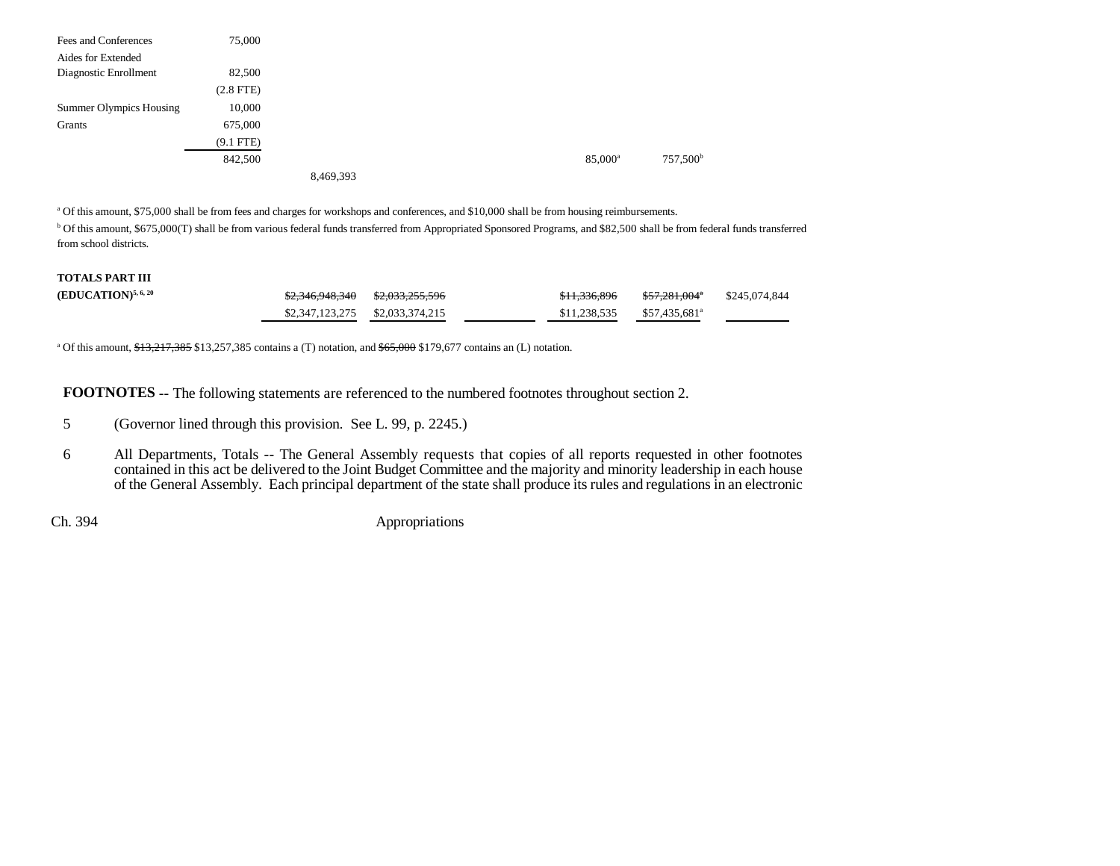| Fees and Conferences           | 75,000      |           |  |                     |                      |
|--------------------------------|-------------|-----------|--|---------------------|----------------------|
| Aides for Extended             |             |           |  |                     |                      |
| Diagnostic Enrollment          | 82,500      |           |  |                     |                      |
|                                | $(2.8$ FTE) |           |  |                     |                      |
| <b>Summer Olympics Housing</b> | 10,000      |           |  |                     |                      |
| Grants                         | 675,000     |           |  |                     |                      |
|                                | $(9.1$ FTE) |           |  |                     |                      |
|                                | 842,500     |           |  | 85,000 <sup>a</sup> | 757,500 <sup>b</sup> |
|                                |             | 8,469,393 |  |                     |                      |

a Of this amount, \$75,000 shall be from fees and charges for workshops and conferences, and \$10,000 shall be from housing reimbursements. b Of this amount, \$675,000(T) shall be from various federal funds transferred from Appropriated Sponsored Programs, and \$82,500 shall be from federal funds transferred from school districts.

#### **TOTALS PART III**

| $(EDUCATION)^{5,6,20}$ | <del>\$2,346,948,340</del>      | <del>\$2,033,255,596</del> | <del>\$11,336,896</del> | \$57,281,004ª             | \$245,074,844 |
|------------------------|---------------------------------|----------------------------|-------------------------|---------------------------|---------------|
|                        | \$2,347,123,275 \$2,033,374,215 |                            | \$11.238.535            | \$57.435.681 <sup>a</sup> |               |

<sup>a</sup> Of this amount,  $\frac{43,217,385}{13,257,385}$  contains a (T) notation, and  $\frac{665,000}{13,290}$  \$179,677 contains an (L) notation.

**FOOTNOTES** -- The following statements are referenced to the numbered footnotes throughout section 2.

- 5 (Governor lined through this provision. See L. 99, p. 2245.)
- 6 All Departments, Totals -- The General Assembly requests that copies of all reports requested in other footnotes contained in this act be delivered to the Joint Budget Committee and the majority and minority leadership in each house of the General Assembly. Each principal department of the state shall produce its rules and regulations in an electronic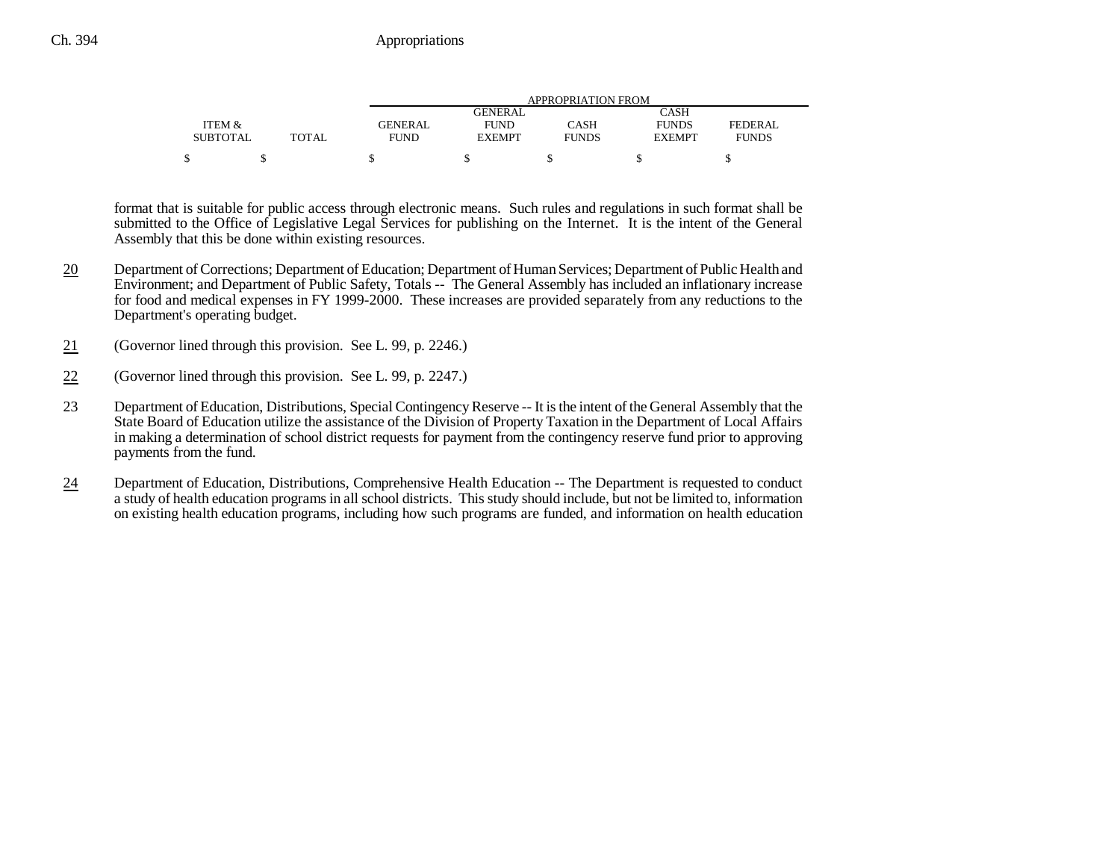|                 |              |             | APPROPRIATION FROM |              |               |              |  |  |  |
|-----------------|--------------|-------------|--------------------|--------------|---------------|--------------|--|--|--|
|                 |              |             | GENERAL            |              | CASH          |              |  |  |  |
| ITEM &          |              | GENERAL     | <b>FUND</b>        | CASH         | <b>FUNDS</b>  | FEDERAL.     |  |  |  |
| <b>SUBTOTAL</b> | <b>TOTAL</b> | <b>FUND</b> | <b>EXEMPT</b>      | <b>FUNDS</b> | <b>EXEMPT</b> | <b>FUNDS</b> |  |  |  |
|                 |              |             |                    |              |               |              |  |  |  |

format that is suitable for public access through electronic means. Such rules and regulations in such format shall be submitted to the Office of Legislative Legal Services for publishing on the Internet. It is the intent of the General Assembly that this be done within existing resources.

- 20 Department of Corrections; Department of Education; Department of Human Services; Department of Public Health and Environment; and Department of Public Safety, Totals -- The General Assembly has included an inflationary increase for food and medical expenses in FY 1999-2000. These increases are provided separately from any reductions to the Department's operating budget.
- 21(Governor lined through this provision. See L. 99, p. 2246.)
- 22(Governor lined through this provision. See L. 99, p. 2247.)
- 23 Department of Education, Distributions, Special Contingency Reserve -- It is the intent of the General Assembly that the State Board of Education utilize the assistance of the Division of Property Taxation in the Department of Local Affairs in making a determination of school district requests for payment from the contingency reserve fund prior to approving payments from the fund.
- 24 Department of Education, Distributions, Comprehensive Health Education -- The Department is requested to conduct a study of health education programs in all school districts. This study should include, but not be limited to, information on existing health education programs, including how such programs are funded, and information on health education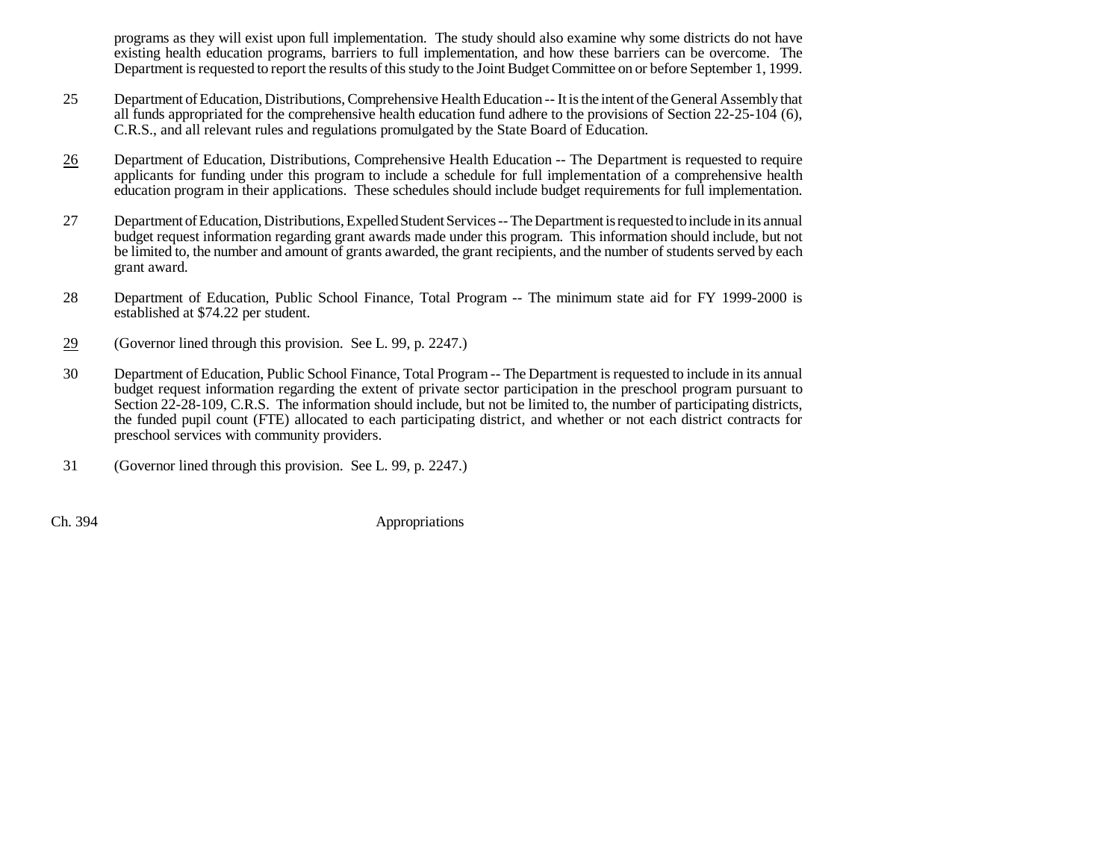programs as they will exist upon full implementation. The study should also examine why some districts do not have existing health education programs, barriers to full implementation, and how these barriers can be overcome. The Department is requested to report the results of this study to the Joint Budget Committee on or before September 1, 1999.

- 25 Department of Education, Distributions, Comprehensive Health Education -- It is the intent of the General Assembly that all funds appropriated for the comprehensive health education fund adhere to the provisions of Section 22-25-104 (6), C.R.S., and all relevant rules and regulations promulgated by the State Board of Education.
- 26 Department of Education, Distributions, Comprehensive Health Education -- The Department is requested to require applicants for funding under this program to include a schedule for full implementation of a comprehensive health education program in their applications. These schedules should include budget requirements for full implementation.
- 27 Department of Education, Distributions, Expelled Student Services -- The Department is requested to include in its annual budget request information regarding grant awards made under this program. This information should include, but not be limited to, the number and amount of grants awarded, the grant recipients, and the number of students served by each grant award.
- 28 Department of Education, Public School Finance, Total Program -- The minimum state aid for FY 1999-2000 is established at \$74.22 per student.
- 29(Governor lined through this provision. See L. 99, p. 2247.)
- 30 Department of Education, Public School Finance, Total Program -- The Department is requested to include in its annual budget request information regarding the extent of private sector participation in the preschool program pursuant to Section 22-28-109, C.R.S. The information should include, but not be limited to, the number of participating districts, the funded pupil count (FTE) allocated to each participating district, and whether or not each district contracts for preschool services with community providers.
- 31 (Governor lined through this provision. See L. 99, p. 2247.)